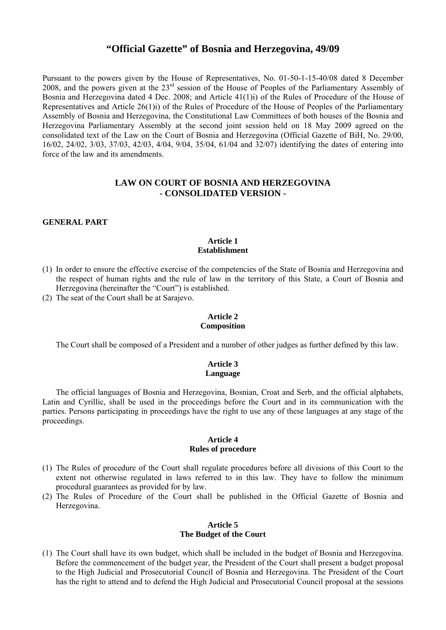# **"Official Gazette" of Bosnia and Herzegovina, 49/09**

Pursuant to the powers given by the House of Representatives, No. 01-50-1-15-40/08 dated 8 December 2008, and the powers given at the 23rd session of the House of Peoples of the Parliamentary Assembly of Bosnia and Herzegovina dated 4 Dec. 2008; and Article 41(1)i) of the Rules of Procedure of the House of Representatives and Article 26(1)i) of the Rules of Procedure of the House of Peoples of the Parliamentary Assembly of Bosnia and Herzegovina, the Constitutional Law Committees of both houses of the Bosnia and Herzegovina Parliamentary Assembly at the second joint session held on 18 May 2009 agreed on the consolidated text of the Law on the Court of Bosnia and Herzegovina (Official Gazette of BiH, No. 29/00, 16/02, 24/02, 3/03, 37/03, 42/03, 4/04, 9/04, 35/04, 61/04 and 32/07) identifying the dates of entering into force of the law and its amendments.

# **LAW ON COURT OF BOSNIA AND HERZEGOVINA - CONSOLIDATED VERSION -**

#### **GENERAL PART**

#### **Article 1 Establishment**

- (1) In order to ensure the effective exercise of the competencies of the State of Bosnia and Herzegovina and the respect of human rights and the rule of law in the territory of this State, a Court of Bosnia and Herzegovina (hereinafter the "Court") is established.
- (2) The seat of the Court shall be at Sarajevo.

#### **Article 2 Composition**

The Court shall be composed of a President and a number of other judges as further defined by this law.

### **Article 3 Language**

The official languages of Bosnia and Herzegovina, Bosnian, Croat and Serb, and the official alphabets, Latin and Cyrillic, shall be used in the proceedings before the Court and in its communication with the parties. Persons participating in proceedings have the right to use any of these languages at any stage of the proceedings.

#### **Article 4 Rules of procedure**

- (1) The Rules of procedure of the Court shall regulate procedures before all divisions of this Court to the extent not otherwise regulated in laws referred to in this law. They have to follow the minimum procedural guarantees as provided for by law.
- (2) The Rules of Procedure of the Court shall be published in the Official Gazette of Bosnia and Herzegovina.

### **Article 5 The Budget of the Court**

(1) The Court shall have its own budget, which shall be included in the budget of Bosnia and Herzegovina. Before the commencement of the budget year, the President of the Court shall present a budget proposal to the High Judicial and Prosecutorial Council of Bosnia and Herzegovina. The President of the Court has the right to attend and to defend the High Judicial and Prosecutorial Council proposal at the sessions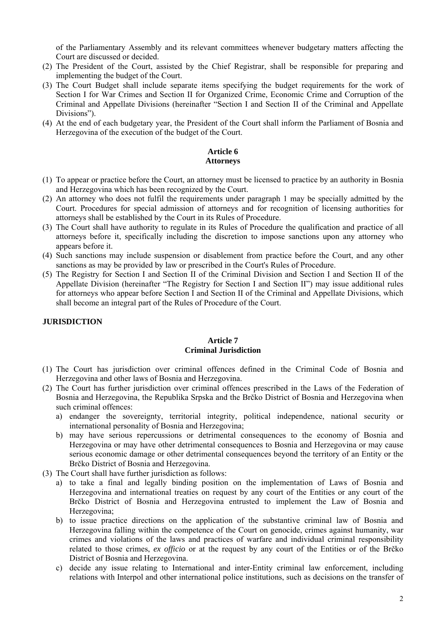of the Parliamentary Assembly and its relevant committees whenever budgetary matters affecting the Court are discussed or decided.

- (2) The President of the Court, assisted by the Chief Registrar, shall be responsible for preparing and implementing the budget of the Court.
- (3) The Court Budget shall include separate items specifying the budget requirements for the work of Section I for War Crimes and Section II for Organized Crime, Economic Crime and Corruption of the Criminal and Appellate Divisions (hereinafter "Section I and Section II of the Criminal and Appellate Divisions")
- (4) At the end of each budgetary year, the President of the Court shall inform the Parliament of Bosnia and Herzegovina of the execution of the budget of the Court.

# **Article 6 Attorneys**

- (1) To appear or practice before the Court, an attorney must be licensed to practice by an authority in Bosnia and Herzegovina which has been recognized by the Court.
- (2) An attorney who does not fulfil the requirements under paragraph 1 may be specially admitted by the Court. Procedures for special admission of attorneys and for recognition of licensing authorities for attorneys shall be established by the Court in its Rules of Procedure.
- (3) The Court shall have authority to regulate in its Rules of Procedure the qualification and practice of all attorneys before it, specifically including the discretion to impose sanctions upon any attorney who appears before it.
- (4) Such sanctions may include suspension or disablement from practice before the Court, and any other sanctions as may be provided by law or prescribed in the Court's Rules of Procedure.
- (5) The Registry for Section I and Section II of the Criminal Division and Section I and Section II of the Appellate Division (hereinafter "The Registry for Section I and Section II") may issue additional rules for attorneys who appear before Section I and Section II of the Criminal and Appellate Divisions, which shall become an integral part of the Rules of Procedure of the Court.

# **JURISDICTION**

### **Article 7 Criminal Jurisdiction**

- (1) The Court has jurisdiction over criminal offences defined in the Criminal Code of Bosnia and Herzegovina and other laws of Bosnia and Herzegovina.
- (2) The Court has further jurisdiction over criminal offences prescribed in the Laws of the Federation of Bosnia and Herzegovina, the Republika Srpska and the Brčko District of Bosnia and Herzegovina when such criminal offences:
	- a) endanger the sovereignty, territorial integrity, political independence, national security or international personality of Bosnia and Herzegovina;
	- b) may have serious repercussions or detrimental consequences to the economy of Bosnia and Herzegovina or may have other detrimental consequences to Bosnia and Herzegovina or may cause serious economic damage or other detrimental consequences beyond the territory of an Entity or the Brčko District of Bosnia and Herzegovina.
- (3) The Court shall have further jurisdiction as follows:
	- a) to take a final and legally binding position on the implementation of Laws of Bosnia and Herzegovina and international treaties on request by any court of the Entities or any court of the Brčko District of Bosnia and Herzegovina entrusted to implement the Law of Bosnia and Herzegovina;
	- b) to issue practice directions on the application of the substantive criminal law of Bosnia and Herzegovina falling within the competence of the Court on genocide, crimes against humanity, war crimes and violations of the laws and practices of warfare and individual criminal responsibility related to those crimes, *ex officio* or at the request by any court of the Entities or of the Brčko District of Bosnia and Herzegovina.
	- c) decide any issue relating to International and inter-Entity criminal law enforcement, including relations with Interpol and other international police institutions, such as decisions on the transfer of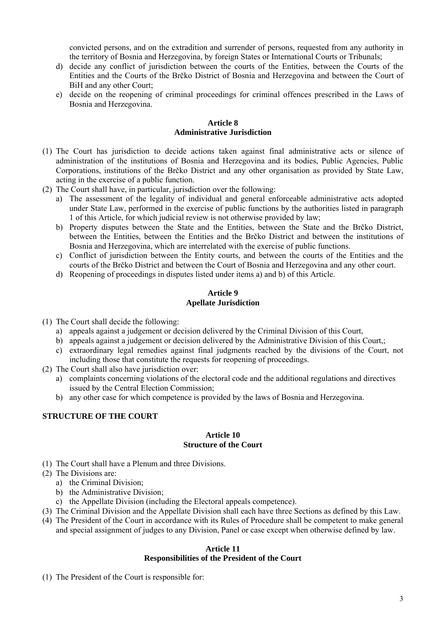convicted persons, and on the extradition and surrender of persons, requested from any authority in the territory of Bosnia and Herzegovina, by foreign States or International Courts or Tribunals;

- d) decide any conflict of jurisdiction between the courts of the Entities, between the Courts of the Entities and the Courts of the Brčko District of Bosnia and Herzegovina and between the Court of BiH and any other Court;
- e) decide on the reopening of criminal proceedings for criminal offences prescribed in the Laws of Bosnia and Herzegovina.

### **Article 8 Administrative Jurisdiction**

- (1) The Court has jurisdiction to decide actions taken against final administrative acts or silence of administration of the institutions of Bosnia and Herzegovina and its bodies, Public Agencies, Public Corporations, institutions of the Brčko District and any other organisation as provided by State Law, acting in the exercise of a public function.
- (2) The Court shall have, in particular, jurisdiction over the following:
	- a) The assessment of the legality of individual and general enforceable administrative acts adopted under State Law, performed in the exercise of public functions by the authorities listed in paragraph 1 of this Article, for which judicial review is not otherwise provided by law;
	- b) Property disputes between the State and the Entities, between the State and the Brčko District, between the Entities, between the Entities and the Brčko District and between the institutions of Bosnia and Herzegovina, which are interrelated with the exercise of public functions.
	- c) Conflict of jurisdiction between the Entity courts, and between the courts of the Entities and the courts of the Brčko District and between the Court of Bosnia and Herzegovina and any other court.
	- d) Reopening of proceedings in disputes listed under items a) and b) of this Article.

## **Article 9 Apellate Jurisdiction**

- (1) The Court shall decide the following:
	- a) appeals against a judgement or decision delivered by the Criminal Division of this Court,
	- b) appeals against a judgement or decision delivered by the Administrative Division of this Court,;
	- c) extraordinary legal remedies against final judgments reached by the divisions of the Court, not including those that constitute the requests for reopening of proceedings.
- (2) The Court shall also have jurisdiction over:
	- a) complaints concerning violations of the electoral code and the additional regulations and directives issued by the Central Election Commission;
	- b) any other case for which competence is provided by the laws of Bosnia and Herzegovina.

# **STRUCTURE OF THE COURT**

#### **Article 10 Structure of the Court**

(1) The Court shall have a Plenum and three Divisions.

# (2) The Divisions are:

- a) the Criminal Division;
- b) the Administrative Division;
- c) the Appellate Division (including the Electoral appeals competence).
- (3) The Criminal Division and the Appellate Division shall each have three Sections as defined by this Law.
- (4) The President of the Court in accordance with its Rules of Procedure shall be competent to make general and special assignment of judges to any Division, Panel or case except when otherwise defined by law.

### **Article 11 Responsibilities of the President of the Court**

(1) The President of the Court is responsible for: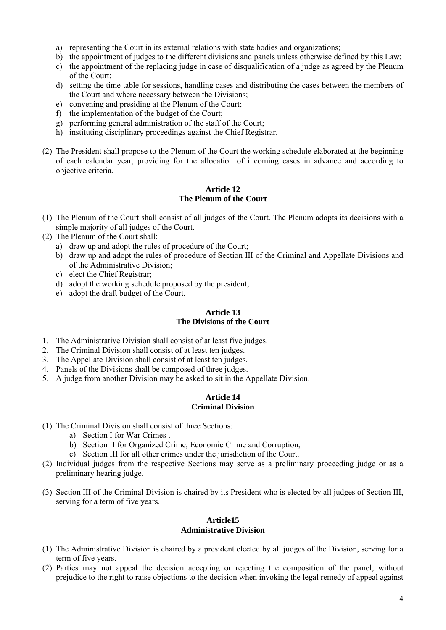- a) representing the Court in its external relations with state bodies and organizations;
- b) the appointment of judges to the different divisions and panels unless otherwise defined by this Law;
- c) the appointment of the replacing judge in case of disqualification of a judge as agreed by the Plenum of the Court;
- d) setting the time table for sessions, handling cases and distributing the cases between the members of the Court and where necessary between the Divisions;
- e) convening and presiding at the Plenum of the Court;
- f) the implementation of the budget of the Court;
- g) performing general administration of the staff of the Court;
- h) instituting disciplinary proceedings against the Chief Registrar.
- (2) The President shall propose to the Plenum of the Court the working schedule elaborated at the beginning of each calendar year, providing for the allocation of incoming cases in advance and according to objective criteria.

### **Article 12 The Plenum of the Court**

- (1) The Plenum of the Court shall consist of all judges of the Court. The Plenum adopts its decisions with a simple majority of all judges of the Court.
- (2) The Plenum of the Court shall:
	- a) draw up and adopt the rules of procedure of the Court;
	- b) draw up and adopt the rules of procedure of Section III of the Criminal and Appellate Divisions and of the Administrative Division;
	- c) elect the Chief Registrar;
	- d) adopt the working schedule proposed by the president;
	- e) adopt the draft budget of the Court.

## **Article 13 The Divisions of the Court**

- 1. The Administrative Division shall consist of at least five judges.
- 2. The Criminal Division shall consist of at least ten judges.
- 3. The Appellate Division shall consist of at least ten judges.
- 4. Panels of the Divisions shall be composed of three judges.
- 5. A judge from another Division may be asked to sit in the Appellate Division.

### **Article 14 Criminal Division**

- (1) The Criminal Division shall consist of three Sections:
	- a) Section I for War Crimes ,
	- b) Section II for Organized Crime, Economic Crime and Corruption,
	- c) Section III for all other crimes under the jurisdiction of the Court.
- (2) Individual judges from the respective Sections may serve as a preliminary proceeding judge or as a preliminary hearing judge.
- (3) Section III of the Criminal Division is chaired by its President who is elected by all judges of Section III, serving for a term of five years.

## **Article15 Administrative Division**

- (1) The Administrative Division is chaired by a president elected by all judges of the Division, serving for a term of five years.
- (2) Parties may not appeal the decision accepting or rejecting the composition of the panel, without prejudice to the right to raise objections to the decision when invoking the legal remedy of appeal against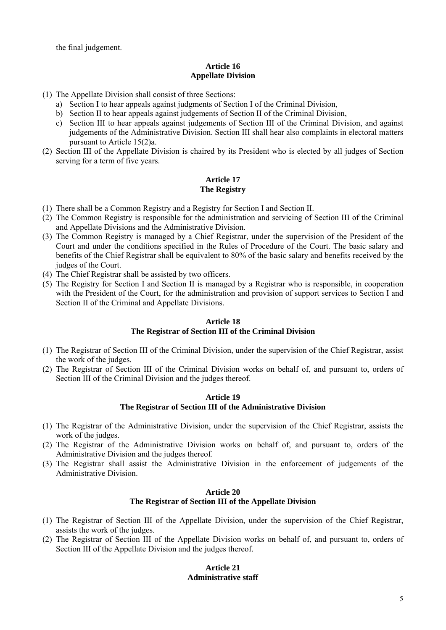the final judgement.

# **Article 16 Appellate Division**

- (1) The Appellate Division shall consist of three Sections:
	- a) Section I to hear appeals against judgments of Section I of the Criminal Division,
	- b) Section II to hear appeals against judgements of Section II of the Criminal Division,
	- c) Section III to hear appeals against judgements of Section III of the Criminal Division, and against judgements of the Administrative Division. Section III shall hear also complaints in electoral matters pursuant to Article 15(2)a.
- (2) Section III of the Appellate Division is chaired by its President who is elected by all judges of Section serving for a term of five years.

# **Article 17 The Registry**

- (1) There shall be a Common Registry and a Registry for Section I and Section II.
- (2) The Common Registry is responsible for the administration and servicing of Section III of the Criminal and Appellate Divisions and the Administrative Division.
- (3) The Common Registry is managed by a Chief Registrar, under the supervision of the President of the Court and under the conditions specified in the Rules of Procedure of the Court. The basic salary and benefits of the Chief Registrar shall be equivalent to 80% of the basic salary and benefits received by the judges of the Court.
- (4) The Chief Registrar shall be assisted by two officers.
- (5) The Registry for Section I and Section II is managed by a Registrar who is responsible, in cooperation with the President of the Court, for the administration and provision of support services to Section I and Section II of the Criminal and Appellate Divisions.

### **Article 18**

# **The Registrar of Section III of the Criminal Division**

- (1) The Registrar of Section III of the Criminal Division, under the supervision of the Chief Registrar, assist the work of the judges.
- (2) The Registrar of Section III of the Criminal Division works on behalf of, and pursuant to, orders of Section III of the Criminal Division and the judges thereof.

## **Article 19 The Registrar of Section III of the Administrative Division**

- (1) The Registrar of the Administrative Division, under the supervision of the Chief Registrar, assists the work of the judges.
- (2) The Registrar of the Administrative Division works on behalf of, and pursuant to, orders of the Administrative Division and the judges thereof.
- (3) The Registrar shall assist the Administrative Division in the enforcement of judgements of the Administrative Division.

### **Article 20 The Registrar of Section III of the Appellate Division**

- (1) The Registrar of Section III of the Appellate Division, under the supervision of the Chief Registrar, assists the work of the judges.
- (2) The Registrar of Section III of the Appellate Division works on behalf of, and pursuant to, orders of Section III of the Appellate Division and the judges thereof.

# **Article 21 Administrative staff**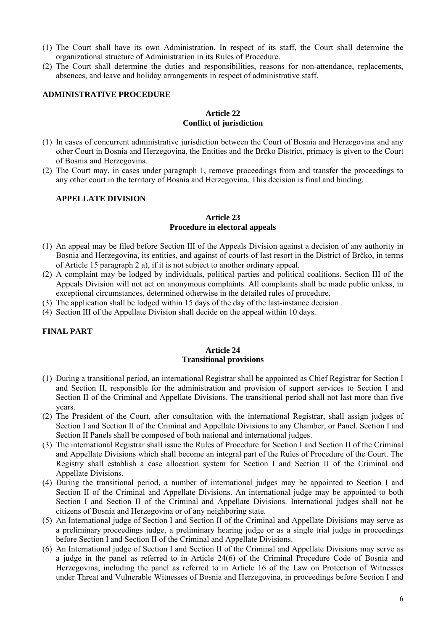- (1) The Court shall have its own Administration. In respect of its staff, the Court shall determine the organizational structure of Administration in its Rules of Procedure.
- (2) The Court shall determine the duties and responsibilities, reasons for non-attendance, replacements, absences, and leave and holiday arrangements in respect of administrative staff.

#### **ADMINISTRATIVE PROCEDURE**

#### **Article 22 Conflict of jurisdiction**

- (1) In cases of concurrent administrative jurisdiction between the Court of Bosnia and Herzegovina and any other Court in Bosnia and Herzegovina, the Entities and the Brčko District, primacy is given to the Court of Bosnia and Herzegovina.
- (2) The Court may, in cases under paragraph 1, remove proceedings from and transfer the proceedings to any other court in the territory of Bosnia and Herzegovina. This decision is final and binding.

### **APPELLATE DIVISION**

#### **Article 23 Procedure in electoral appeals**

- (1) An appeal may be filed before Section III of the Appeals Division against a decision of any authority in Bosnia and Herzegovina, its entities, and against of courts of last resort in the District of Brčko, in terms of Article 15 paragraph 2 a), if it is not subject to another ordinary appeal.
- (2) A complaint may be lodged by individuals, political parties and political coalitions. Section III of the Appeals Division will not act on anonymous complaints. All complaints shall be made public unless, in exceptional circumstances, determined otherwise in the detailed rules of procedure.
- (3) The application shall be lodged within 15 days of the day of the last-instance decision .
- (4) Section III of the Appellate Division shall decide on the appeal within 10 days.

### **FINAL PART**

#### **Article 24 Transitional provisions**

- (1) During a transitional period, an international Registrar shall be appointed as Chief Registrar for Section I and Section II, responsible for the administration and provision of support services to Section I and Section II of the Criminal and Appellate Divisions. The transitional period shall not last more than five years.
- (2) The President of the Court, after consultation with the international Registrar, shall assign judges of Section I and Section II of the Criminal and Appellate Divisions to any Chamber, or Panel. Section I and Section II Panels shall be composed of both national and international judges.
- (3) The international Registrar shall issue the Rules of Procedure for Section I and Section II of the Criminal and Appellate Divisions which shall become an integral part of the Rules of Procedure of the Court. The Registry shall establish a case allocation system for Section I and Section II of the Criminal and Appellate Divisions.
- (4) During the transitional period, a number of international judges may be appointed to Section I and Section II of the Criminal and Appellate Divisions. An international judge may be appointed to both Section I and Section II of the Criminal and Appellate Divisions. International judges shall not be citizens of Bosnia and Herzegovina or of any neighboring state.
- (5) An International judge of Section I and Section II of the Criminal and Appellate Divisions may serve as a preliminary proceedings judge, a preliminary hearing judge or as a single trial judge in proceedings before Section I and Section II of the Criminal and Appellate Divisions.
- (6) An International judge of Section I and Section II of the Criminal and Appellate Divisions may serve as a judge in the panel as referred to in Article 24(6) of the Criminal Procedure Code of Bosnia and Herzegovina, including the panel as referred to in Article 16 of the Law on Protection of Witnesses under Threat and Vulnerable Witnesses of Bosnia and Herzegovina, in proceedings before Section I and